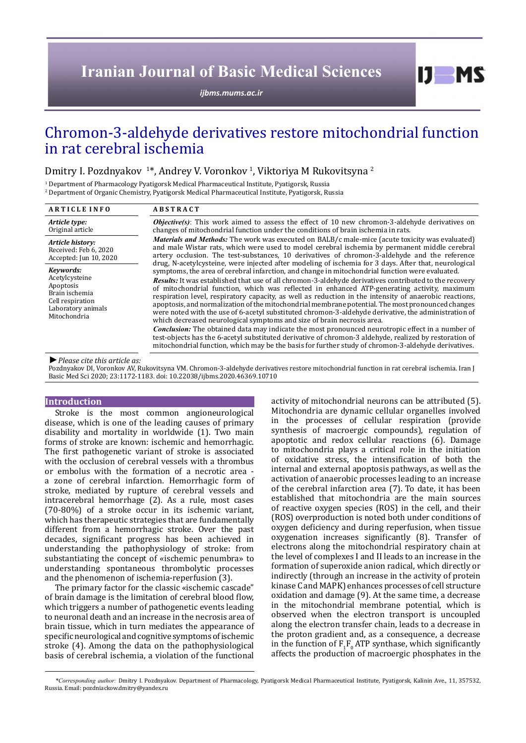# **Iranian Journal of Basic Medical Sciences**

*[ijbms.mums.ac.ir](http://ijbms.mums.ac.ir)*

## Chromon-3-aldehyde derivatives restore mitochondrial function in rat cerebral ischemia

## Dmitry I. Pozdnyakov <sup>1\*</sup>, Andrey V. Voronkov <sup>1</sup>, Viktoriya M Rukovitsyna <sup>2</sup>

1 Department of Pharmacology Pyatigorsk Medical Pharmaceutical Institute, Pyatigorsk, Russia

2 Department of Organic Chemistry, Pyatigorsk Medical Pharmaceutical Institute, Pyatigorsk, Russia

| <b>ARTICLE INFO</b>                                                                                                  | <b>ABSTRACT</b>                                                                                                                                                                                                                                                                                                                                                                                                                                                                                                                                                                                                                                                                                                                                                                                                                                                                                                                                                                                                                                                                                                                                |  |
|----------------------------------------------------------------------------------------------------------------------|------------------------------------------------------------------------------------------------------------------------------------------------------------------------------------------------------------------------------------------------------------------------------------------------------------------------------------------------------------------------------------------------------------------------------------------------------------------------------------------------------------------------------------------------------------------------------------------------------------------------------------------------------------------------------------------------------------------------------------------------------------------------------------------------------------------------------------------------------------------------------------------------------------------------------------------------------------------------------------------------------------------------------------------------------------------------------------------------------------------------------------------------|--|
| Article type:<br>Original article                                                                                    | <b><i>Objective(s)</i></b> : This work aimed to assess the effect of 10 new chromon-3-aldehyde derivatives on<br>changes of mitochondrial function under the conditions of brain is chemia in rats.<br><i>Materials and Methods:</i> The work was executed on BALB/c male-mice (acute toxicity was evaluated)<br>and male Wistar rats, which were used to model cerebral ischemia by permanent middle cerebral<br>artery occlusion. The test-substances, 10 derivatives of chromon-3-aldehyde and the reference                                                                                                                                                                                                                                                                                                                                                                                                                                                                                                                                                                                                                                |  |
| Article history:<br>Received: Feb 6, 2020<br>Accepted: Jun 10, 2020                                                  |                                                                                                                                                                                                                                                                                                                                                                                                                                                                                                                                                                                                                                                                                                                                                                                                                                                                                                                                                                                                                                                                                                                                                |  |
| Kevwords:<br>Acetylcysteine<br>Apoptosis<br>Brain ischemia<br>Cell respiration<br>Laboratory animals<br>Mitochondria | drug, N-acetylcysteine, were injected after modeling of ischemia for 3 days. After that, neurological<br>symptoms, the area of cerebral infarction, and change in mitochondrial function were evaluated.<br>Results: It was established that use of all chromon-3-aldehyde derivatives contributed to the recovery<br>of mitochondrial function, which was reflected in enhanced ATP-generating activity, maximum<br>respiration level, respiratory capacity, as well as reduction in the intensity of anaerobic reactions,<br>apoptosis, and normalization of the mitochondrial membrane potential. The most pronounced changes<br>were noted with the use of 6-acetyl substituted chromon-3-aldehyde derivative, the administration of<br>which decreased neurological symptoms and size of brain necrosis area.<br><b>Conclusion:</b> The obtained data may indicate the most pronounced neurotropic effect in a number of<br>test-objects has the 6-acetyl substituted derivative of chromon-3 aldehyde, realized by restoration of<br>mitochondrial function, which may be the basis for further study of chromon-3-aldehyde derivatives. |  |

*►Please cite this article as:*

Pozdnyakov DI, Voronkov AV, Rukovitsyna VM. Chromon-3-aldehyde derivatives restore mitochondrial function in rat cerebral ischemia. Iran J Basic Med Sci 2020; 23:1172-1183. doi: 10.22038/ijbms.2020.46369.10710

## **Introduction**

Stroke is the most common angioneurological disease, which is one of the leading causes of primary disability and mortality in worldwide (1). Two main forms of stroke are known: ischemic and hemorrhagic. The first pathogenetic variant of stroke is associated with the occlusion of cerebral vessels with a thrombus or embolus with the formation of a necrotic area a zone of cerebral infarction. Hemorrhagic form of stroke, mediated by rupture of cerebral vessels and intracerebral hemorrhage (2). As a rule, most cases (70-80%) of a stroke occur in its ischemic variant, which has therapeutic strategies that are fundamentally different from a hemorrhagic stroke. Over the past decades, significant progress has been achieved in understanding the pathophysiology of stroke: from substantiating the concept of «ischemic penumbra» to understanding spontaneous thrombolytic processes and the phenomenon of ischemia-reperfusion (3).

The primary factor for the classic «ischemic cascade" of brain damage is the limitation of cerebral blood flow, which triggers a number of pathogenetic events leading to neuronal death and an increase in the necrosis area of brain tissue, which in turn mediates the appearance of specific neurological and cognitive symptoms of ischemic stroke (4). Among the data on the pathophysiological basis of cerebral ischemia, a violation of the functional

activity of mitochondrial neurons can be attributed (5). Mitochondria are dynamic cellular organelles involved in the processes of cellular respiration (provide synthesis of macroergic compounds), regulation of apoptotic and redox cellular reactions (6). Damage to mitochondria plays a critical role in the initiation of oxidative stress, the intensification of both the internal and external apoptosis pathways, as well as the activation of anaerobic processes leading to an increase of the cerebral infarction area (7). To date, it has been established that mitochondria are the main sources of reactive oxygen species (ROS) in the cell, and their (ROS) overproduction is noted both under conditions of oxygen deficiency and during reperfusion, when tissue oxygenation increases significantly (8). Transfer of electrons along the mitochondrial respiratory chain at the level of complexes I and II leads to an increase in the formation of superoxide anion radical, which directly or indirectly (through an increase in the activity of protein kinase C and MAPK) enhances processes of cell structure oxidation and damage (9). At the same time, a decrease in the mitochondrial membrane potential, which is observed when the electron transport is uncoupled along the electron transfer chain, leads to a decrease in the proton gradient and, as a consequence, a decrease in the function of  $F_1F_0$  ATP synthase, which significantly affects the production of macroergic phosphates in the

 $I$   $I$   $M$   $S$ 

*\*Corresponding author:* Dmitry I. Pozdnyakov. Department of Pharmacology, Pyatigorsk Medical Pharmaceutical Institute, Pyatigorsk, Kalinin Ave., 11, 357532, Russia. Email: pozdniackow.dmitry@yandex.ru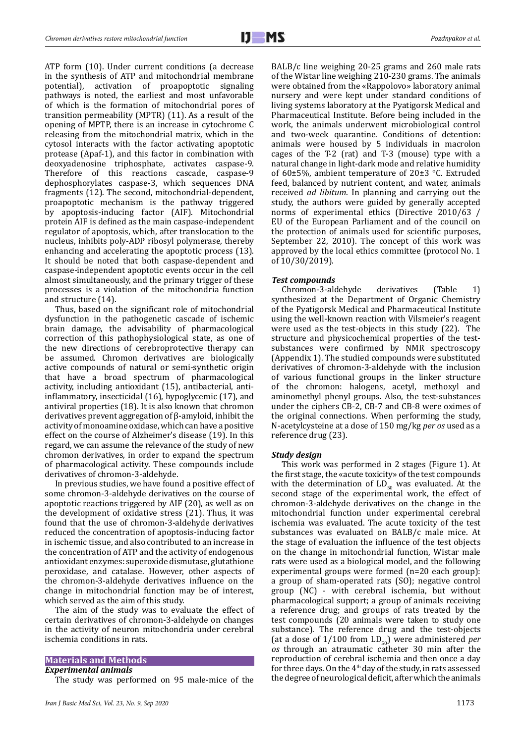ATP form (10). Under current conditions (a decrease in the synthesis of ATP and mitochondrial membrane potential), activation of proapoptotic signaling pathways is noted, the earliest and most unfavorable of which is the formation of mitochondrial pores of transition permeability (MPTR) (11). As a result of the opening of MPTP, there is an increase in cytochrome C releasing from the mitochondrial matrix, which in the cytosol interacts with the factor activating apoptotic protease (Apaf-1), and this factor in combination with deoxyadenosine triphosphate, activates caspase-9. Therefore of this reactions cascade, caspase-9 dephosphorylates caspase-3, which sequences DNA fragments (12). The second, mitochondrial-dependent, proapoptotic mechanism is the pathway triggered by apoptosis-inducing factor (AIF). Mitochondrial protein AIF is defined as the main caspase-independent regulator of apoptosis, which, after translocation to the nucleus, inhibits poly-ADP ribosyl polymerase, thereby enhancing and accelerating the apoptotic process (13). It should be noted that both caspase-dependent and caspase-independent apoptotic events occur in the cell almost simultaneously, and the primary trigger of these processes is a violation of the mitochondria function and structure (14).

Thus, based on the significant role of mitochondrial dysfunction in the pathogenetic cascade of ischemic brain damage, the advisability of pharmacological correction of this pathophysiological state, as one of the new directions of cerebroprotective therapy сan be assumed. Chromon derivatives are biologically active compounds of natural or semi-synthetic origin that have a broad spectrum of pharmacological activity, including antioxidant (15), antibacterial, antiinflammatory, insecticidal (16), hypoglycemic (17), and antiviral properties (18). It is also known that chromon derivatives prevent aggregation of β-amyloid, inhibit the activity of monoamine oxidase, which can have a positive effect on the course of Alzheimer's disease (19). In this regard, we can assume the relevance of the study of new chromon derivatives, in order to expand the spectrum of pharmacological activity. These compounds include derivatives of chromon-3-aldehyde.

In previous studies, we have found a positive effect of some chromon-3-aldehyde derivatives on the course of apoptotic reactions triggered by AIF (20), as well as on the development of oxidative stress (21). Thus, it was found that the use of chromon-3-aldehyde derivatives reduced the concentration of apoptosis-inducing factor in ischemic tissue, and also contributed to an increase in the concentration of ATP and the activity of endogenous antioxidant enzymes: superoxide dismutase, glutathione peroxidase, and catalase. However, other aspects of the chromon-3-aldehyde derivatives influence on the change in mitochondrial function may be of interest, which served as the aim of this study.

The aim of the study was to evaluate the effect of certain derivatives of chromon-3-aldehyde on changes in the activity of neuron mitochondria under cerebral ischemia conditions in rats.

## **Materials and Methods** *Experimental animals*

The study was performed on 95 male-mice of the

BALB/c line weighing 20-25 grams and 260 male rats of the Wistar line weighing 210-230 grams. The animals were obtained from the «Rappolovo» laboratory animal nursery and were kept under standard conditions of living systems laboratory at the Pyatigorsk Medical and Pharmaceutical Institute. Before being included in the work, the animals underwent microbiological control and two-week quarantine. Conditions of detention: animals were housed by 5 individuals in macrolon cages of the T-2 (rat) and T-3 (mouse) type with a natural change in light-dark mode and relative humidity of 60±5%, ambient temperature of 20±3 °C. Extruded feed, balanced by nutrient content, and water, animals received *ad libitum*. In planning and carrying out the study, the authors were guided by generally accepted norms of experimental ethics (Directive 2010/63 / EU of the European Parliament and of the council on the protection of animals used for scientific purposes, September 22, 2010). The concept of this work was approved by the local ethics committee (protocol No. 1 of 10/30/2019).

#### *Test compounds*

Chromon-3-aldehyde derivatives (Table 1) synthesized at the Department of Organic Chemistry of the Pyatigorsk Medical and Pharmaceutical Institute using the well-known reaction with Vilsmeier's reagent were used as the test-objects in this study (22). The structure and physicochemical properties of the testsubstances were confirmed by NMR spectroscopy (Appendix 1). The studied compounds were substituted derivatives of chromon-3-aldehyde with the inclusion of various functional groups in the linker structure of the chromon: halogens, acetyl, methoxyl and aminomethyl phenyl groups. Also, the test-substances under the ciphers CB-2, CB-7 and CB-8 were oximes of the original connections. When performing the study, N-acetylcysteine at a dose of 150 mg/kg *per os* used as a reference drug (23).

#### *Study design*

This work was performed in 2 stages (Figure 1). At the first stage, the «acute toxicity» of the test compounds with the determination of  $LD_{50}$  was evaluated. At the second stage of the experimental work, the effect of chromon-3-aldehyde derivatives on the change in the mitochondrial function under experimental cerebral ischemia was evaluated. The acute toxicity of the test substances was evaluated on BALB/c male mice. At the stage of evaluation the influence of the test objects on the change in mitochondrial function, Wistar male rats were used as a biological model, and the following experimental groups were formed (n=20 each group): a group of sham-operated rats (SO); negative control group (NC) - with cerebral ischemia, but without pharmacological support; a group of animals receiving a reference drug; and groups of rats treated by the test compounds (20 animals were taken to study one substance). The reference drug and the test-objects (at a dose of  $1/100$  from  $LD_{50}$ ) were administered *per os* through an atraumatic catheter 30 min after the reproduction of cerebral ischemia and then once a day for three days. On the  $4<sup>th</sup>$  day of the study, in rats assessed the degree of neurological deficit, after which the animals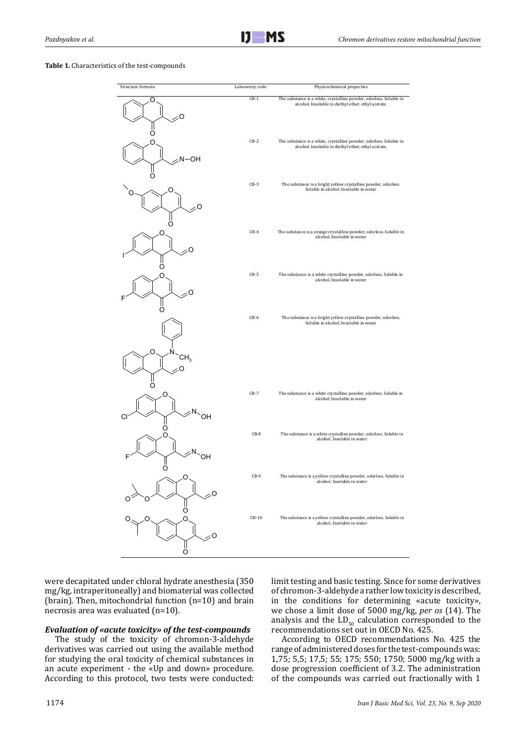#### **Table 1.** Characteristics of the test-compounds



were decapitated under chloral hydrate anesthesia (350 mg/kg, intraperitoneally) and biomaterial was collected (brain). Then, mitochondrial function (n=10) and brain necrosis area was evaluated (n=10).

#### *Evaluation of «acute toxicity» of the test-compounds*

The study of the toxicity of chromon-3-aldehyde derivatives was carried out using the available method for studying the oral toxicity of chemical substances in an acute experiment - the «Up and down» procedure. According to this protocol, two tests were conducted: limit testing and basic testing. Since for some derivatives of chromon-3-aldehyde a rather low toxicity is described, in the conditions for determining «acute toxicity», we chose a limit dose of 5000 mg/kg, *per os* (14). The analysis and the  $LD_{50}$  calculation corresponded to the recommendations set out in OECD No. 425.

According to OECD recommendations No. 425 the range of administered doses for the test-compounds was: 1,75; 5,5; 17,5; 55; 175; 550; 1750; 5000 mg/kg with a dose progression coefficient of 3.2. The administration of the compounds was carried out fractionally with 1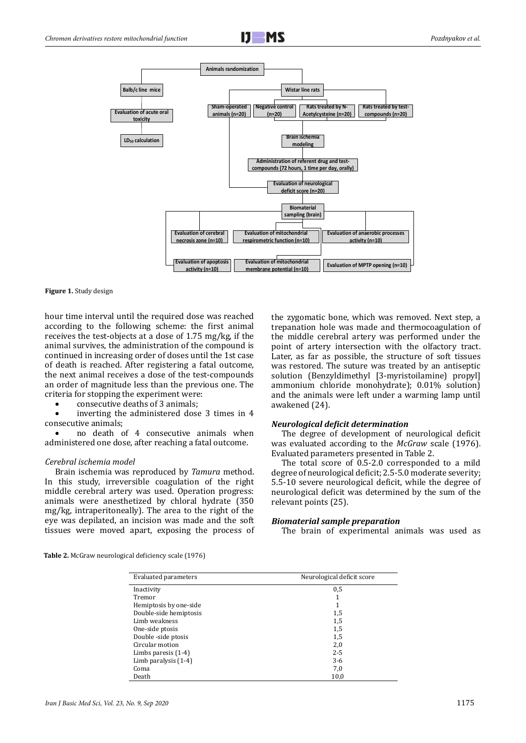



**Figure 1.** Study design

hour time interval until the required dose was reached according to the following scheme: the first animal receives the test-objects at a dose of 1.75 mg/kg, if the animal survives, the administration of the compound is continued in increasing order of doses until the 1st case of death is reached. After registering a fatal outcome, the next animal receives a dose of the test-compounds an order of magnitude less than the previous one. The criteria for stopping the experiment were:

consecutive deaths of 3 animals:

inverting the administered dose  $3$  times in  $4$ consecutive animals;

no death of 4 consecutive animals when administered one dose, after reaching a fatal outcome.

#### *Cerebral ischemia model*

Brain ischemia was reproduced by *Tamura* method. In this study, irreversible coagulation of the right middle cerebral artery was used. Operation progress: animals were anesthetized by chloral hydrate (350 mg/kg, intraperitoneally). The area to the right of the eye was depilated, an incision was made and the soft tissues were moved apart, exposing the process of

the zygomatic bone, which was removed. Next step, a trepanation hole was made and thermocoagulation of the middle cerebral artery was performed under the point of artery intersection with the olfactory tract. Later, as far as possible, the structure of soft tissues was restored. The suture was treated by an antiseptic solution (Benzyldimethyl [3-myristoilamine) propyl] ammonium chloride monohydrate); 0.01% solution) and the animals were left under a warming lamp until awakened (24).

## *Neurological deficit determination*

The degree of development of neurological deficit was evaluated according to the *McGraw* scale (1976). Evaluated parameters presented in Table 2.

The total score of 0.5-2.0 corresponded to a mild degree of neurological deficit; 2.5-5.0 moderate severity; 5.5-10 severe neurological deficit, while the degree of neurological deficit was determined by the sum of the relevant points (25).

#### *Biomaterial sample preparation*

The brain of experimental animals was used as

| <b>Table 2.</b> McGraw neurological deficiency scale (1976) |  |
|-------------------------------------------------------------|--|
|-------------------------------------------------------------|--|

| Evaluated parameters   | Neurological deficit score |
|------------------------|----------------------------|
| Inactivity             | 0,5                        |
| Tremor                 |                            |
| Hemiptosis by one-side | 1                          |
| Double-side hemiptosis | 1,5                        |
| Limb weakness          | 1,5                        |
| One-side ptosis        | 1,5                        |
| Double -side ptosis    | 1,5                        |
| Circular motion        | 2,0                        |
| Limbs paresis $(1-4)$  | $2 - 5$                    |
| Limb paralysis $(1-4)$ | $3-6$                      |
| Coma                   | 7,0                        |
| Death                  | 10,0                       |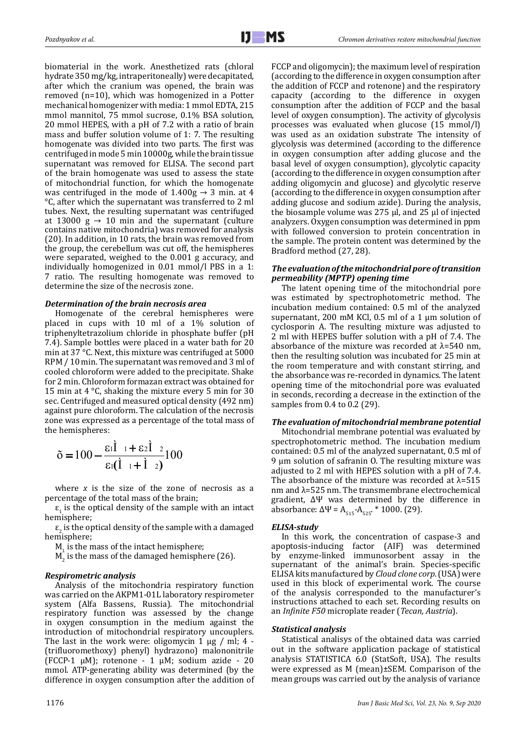biomaterial in the work. Anesthetized rats (chloral hydrate 350 mg/kg, intraperitoneally) were decapitated, after which the cranium was opened, the brain was removed (n=10), which was homogenized in a Potter mechanical homogenizer with media: 1 mmol EDTA, 215 mmol mannitol, 75 mmol sucrose, 0.1% BSA solution, 20 mmol HEPES, with a pH of 7.2 with a ratio of brain mass and buffer solution volume of 1: 7. The resulting homogenate was divided into two parts. The first was centrifuged in mode 5 min 10000g, while the brain tissue supernatant was removed for ELISA. The second part of the brain homogenate was used to assess the state of mitochondrial function, for which the homogenate was centrifuged in the mode of  $1.400g \rightarrow 3$  min. at 4 °C, after which the supernatant was transferred to 2 ml tubes. Next, the resulting supernatant was centrifuged at 13000 g  $\rightarrow$  10 min and the supernatant (culture contains native mitochondria) was removed for analysis (20). In addition, in 10 rats, the brain was removed from the group, the cerebellum was cut off, the hemispheres were separated, weighed to the 0.001 g accuracy, and individually homogenized in 0.01 mmol/l PBS in a 1: 7 ratio. The resulting homogenate was removed to determine the size of the necrosis zone.

#### *Determination of the brain necrosis area*

Homogenate of the cerebral hemispheres were placed in cups with 10 ml of a 1% solution of triphenyltetrazolium chloride in phosphate buffer (pH 7.4). Sample bottles were placed in a water bath for 20 min at 37 °C. Next, this mixture was centrifuged at 5000 RPM / 10 min. The supernatant was removed and 3 ml of cooled chloroform were added to the precipitate. Shake for 2 min. Chloroform formazan extract was obtained for 15 min at 4 °С, shaking the mixture every 5 min for 30 sec. Centrifuged and measured optical density (492 nm) against pure chloroform. The calculation of the necrosis zone was expressed as a percentage of the total mass of the hemispheres:

$$
\tilde{\sigma} = 100 - \frac{\epsilon_1 \dot{\mathbf{l}} + \epsilon_2 \dot{\mathbf{l}}}{\epsilon_1 (\dot{\mathbf{l}} + \dot{\mathbf{l}})^2} 100
$$

where *x* is the size of the zone of necrosis as a percentage of the total mass of the brain;

 $\epsilon_1$  is the optical density of the sample with an intact hemisphere;

 $\epsilon_2$  is the optical density of the sample with a damaged hemisphere;

 $M<sub>1</sub>$  is the mass of the intact hemisphere;

 $\texttt{M}_{\texttt{2}}$  is the mass of the damaged hemisphere (26).

#### *Respirometric analysis*

Analysis of the mitochondria respiratory function was carried on the AKPM1-01L laboratory respirometer system (Alfa Bassens, Russia). The mitochondrial respiratory function was assessed by the change in oxygen consumption in the medium against the introduction of mitochondrial respiratory uncouplers. The last in the work were: oligomycin  $1 \mu$ g / ml; 4 -(trifluoromethoxy) phenyl) hydrazono) malononitrile (FCCP-1 µM); rotenone - 1 µM; sodium azide - 20 mmol. ATP-generating ability was determined (by the difference in oxygen consumption after the addition of

FCCP and oligomycin); the maximum level of respiration (according to the difference in oxygen consumption after the addition of FCCP and rotenone) and the respiratory capacity (according to the difference in oxygen consumption after the addition of FCCP and the basal level of oxygen consumption). The activity of glycolysis processes was evaluated when glucose (15 mmol/l) was used as an oxidation substrate The intensity of glycolysis was determined (according to the difference in oxygen consumption after adding glucose and the basal level of oxygen consumption), glycolytic capacity (according to the difference in oxygen consumption after adding oligomycin and glucose) and glycolytic reserve (according to the difference in oxygen consumption after adding glucose and sodium azide). During the analysis, the biosample volume was 275 μl, and 25 μl of injected analyzers. Oxygen consumption was determined in ppm with followed conversion to protein concentration in the sample. The protein content was determined by the Bradford method (27, 28).

### *The evaluation of the mitochondrial pore of transition permeability (MPTP) opening time*

The latent opening time of the mitochondrial pore was estimated by spectrophotometric method. The incubation medium contained: 0.5 ml of the analyzed supernatant, 200 mM KCl, 0.5 ml of a 1 μm solution of cyclosporin A. The resulting mixture was adjusted to 2 ml with HEPES buffer solution with a pH of 7.4. The absorbance of the mixture was recorded at  $λ=540$  nm, then the resulting solution was incubated for 25 min at the room temperature and with constant stirring, and the absorbance was re-recorded in dynamics. The latent opening time of the mitochondrial pore was evaluated in seconds, recording a decrease in the extinction of the samples from 0.4 to 0.2 (29).

## *The evaluation of mitochondrial membrane potential*

Mitochondrial membrane potential was evaluated by spectrophotometric method. The incubation medium contained: 0.5 ml of the analyzed supernatant, 0.5 ml of 9 μm solution of safranin O. The resulting mixture was adjusted to 2 ml with HEPES solution with a pH of 7.4. The absorbance of the mixture was recorded at  $\lambda$ =515 nm and λ=525 nm. The transmembrane electrochemical gradient, ∆Ψ was determined by the difference in absorbance:  $\Delta \Psi = A_{515} - A_{525}$ . \* 1000. (29).

#### *ELISA-study*

In this work, the concentration of caspase-3 and apoptosis-inducing factor (AIF) was determined by enzyme-linked immunosorbent assay in the supernatant of the animal's brain. Species-specific ELISA kits manufactured by *Cloud clone corp*. (USA) were used in this block of experimental work. The course of the analysis corresponded to the manufacturer's instructions attached to each set. Recording results on an *Infinite F50* microplate reader (*Tecan, Austria*).

#### *Statistical analysis*

Statistical analisys of the obtained data was carried out in the software application package of statistical analysis STATISTICA 6.0 (StatSoft, USA). The results were expressed as M (mean)±SEM. Comparison of the mean groups was carried out by the analysis of variance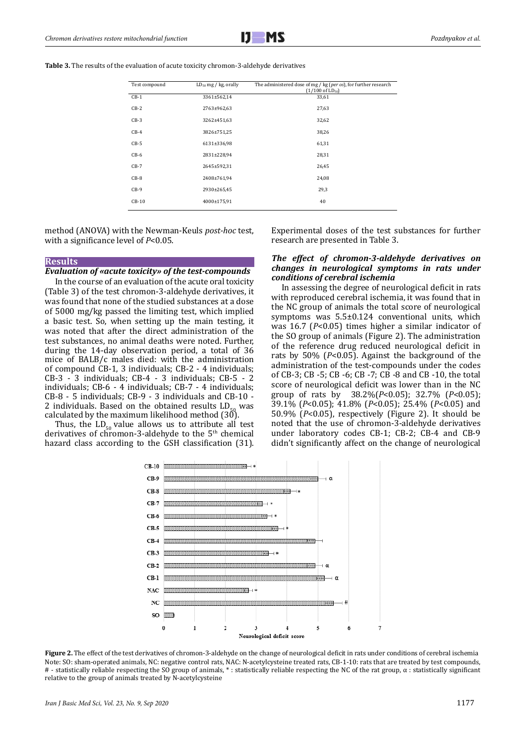**Table 3.** The results of the evaluation of acute toxicity chromon-3-aldehyde derivatives

| Test compound | $LD_{50}$ mg / kg, orally | The administered dose of mg / kg (per os), for further research<br>$(1/100 \text{ of LD}_{50})$ |
|---------------|---------------------------|-------------------------------------------------------------------------------------------------|
| $CB-1$        | 3361±562,14               | 33,61                                                                                           |
| $CB-2$        | 2763±962,63               | 27,63                                                                                           |
| $CB-3$        | 3262±451,63               | 32,62                                                                                           |
| $CB-4$        | 3826±751,25               | 38,26                                                                                           |
| $CB-5$        | 6131±336,98               | 61,31                                                                                           |
| $CB-6$        | 2831±228,94               | 28,31                                                                                           |
| $CB-7$        | 2645±592,31               | 26,45                                                                                           |
| $CB-8$        | 2408±761,94               | 24,08                                                                                           |
| $CB-9$        | 2930±265,45               | 29,3                                                                                            |
| $CB-10$       | 4000±175,91               | 40                                                                                              |

method (ANOVA) with the Newman-Keuls *post-hoc* test, with a significance level of *P*<0.05.

#### **Results**

#### *Evaluation of «acute toxicity» of the test-compounds*

In the course of an evaluation of the acute oral toxicity (Table 3) of the test chromon-3-aldehyde derivatives, it was found that none of the studied substances at a dose of 5000 mg/kg passed the limiting test, which implied a basic test. So, when setting up the main testing, it was noted that after the direct administration of the test substances, no animal deaths were noted. Further, during the 14-day observation period, a total of 36 mice of BALB/c males died: with the administration of compound CB-1, 3 individuals; CB-2 - 4 individuals; CB-3 - 3 individuals; CB-4 - 3 individuals; CB-5 - 2 individuals; CB-6 - 4 individuals; CB-7 - 4 individuals; CB-8 - 5 individuals; CB-9 - 3 individuals and CB-10 - 2 individuals. Based on the obtained results LD<sub>-</sub> calculated by the maximum likelihood method (30).

Thus, the  $LD_{50}$  value allows us to attribute all test derivatives of chromon-3-aldehyde to the  $5<sup>th</sup>$  chemical hazard class according to the GSH classification (31). Experimental doses of the test substances for further research are presented in Table 3.

## *The effect of chromon-3-aldehyde derivatives on changes in neurological symptoms in rats under conditions of cerebral ischemia*

In assessing the degree of neurological deficit in rats with reproduced cerebral ischemia, it was found that in the NC group of animals the total score of neurological symptoms was 5.5±0.124 conventional units, which was 16.7 (*P*<0.05) times higher a similar indicator of the SO group of animals (Figure 2). The administration of the reference drug reduced neurological deficit in rats by 50% (*P*<0.05). Against the background of the administration of the test-compounds under the codes of CB-3; CB -5; CB -6; CB -7; CB -8 and CB -10, the total score of neurological deficit was lower than in the NC group of rats by 38.2%(*P*<0.05); 32.7% (*P*<0.05); 39.1% (*P*<0.05); 41.8% (*P*<0.05); 25.4% (*P*<0.05) and 50.9% (*P*<0.05), respectively (Figure 2). It should be noted that the use of chromon-3-aldehyde derivatives under laboratory codes CB-1; CB-2; CB-4 and CB-9 didn't significantly affect on the change of neurological

7



**Figure 2.** The effect of the test derivatives of chromon-3-aldehyde on the change of neurological deficit in rats under conditions of cerebral ischemia Note: SO: sham-operated animals, NC: negative control rats, NAC: N-acetylcysteine treated rats, CB-1-10: rats that are treated by test compounds, # - statistically reliable respecting the SO group of animals, \* : statistically reliable respecting the NC of the rat group, α : statistically significant relative to the group of animals treated by N-acetylcysteine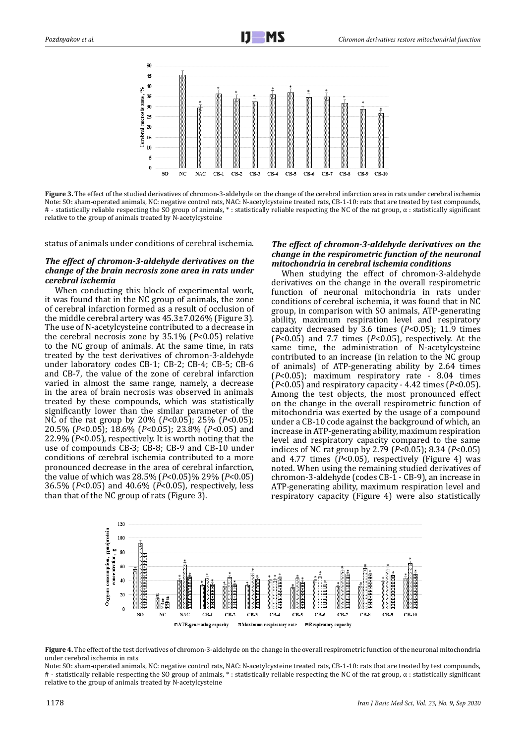

**Figure 3.** The effect of the studied derivatives of chromon-3-aldehyde on the change of the cerebral infarction area in rats under cerebral ischemia Note: SO: sham-operated animals, NC: negative control rats, NAC: N-acetylcysteine treated rats, CB-1-10: rats that are treated by test compounds,  $\#$  - statistically reliable respecting the SO group of animals,  $*$ : statistically reliable respecting the NC of the rat group,  $\alpha$ : statistically significant relative to the group of animals treated by N-acetylcysteine

status of animals under conditions of cerebral ischemia.

## *The effect of chromon-3-aldehyde derivatives on the change of the brain necrosis zone area in rats under cerebral ischemia*

When conducting this block of experimental work. it was found that in the NC group of animals, the zone of cerebral infarction formed as a result of occlusion of the middle cerebral artery was 45.3±7.026% (Figure 3). The use of N-acetylcysteine contributed to a decrease in the cerebral necrosis zone by 35.1% (*P*<0.05) relative to the NC group of animals. At the same time, in rats treated by the test derivatives of chromon-3-aldehyde under laboratory codes CB-1; CB-2; CB-4; CB-5; CB-6 and CB-7, the value of the zone of cerebral infarction varied in almost the same range, namely, a decrease in the area of brain necrosis was observed in animals treated by these compounds, which was statistically significantly lower than the similar parameter of the NC of the rat group by 20% (*P*<0.05); 25% (*P*<0.05); 20.5% (*P*<0.05); 18.6% (*P*<0.05); 23.8% (*P*<0.05) and 22.9% (*P*<0.05), respectively. It is worth noting that the use of compounds CB-3; CB-8; CB-9 and CB-10 under conditions of cerebral ischemia contributed to a more pronounced decrease in the area of cerebral infarction, the value of which was 28.5% (*P*<0.05)% 29% (*P*<0.05) 36.5% (*P*<0.05) and 40.6% (*P*<0.05), respectively, less than that of the NC group of rats (Figure 3).

## *The effect of chromon-3-aldehyde derivatives on the change in the respirometric function of the neuronal mitochondria in cerebral ischemia conditions*

When studying the effect of chromon-3-aldehyde derivatives on the change in the overall respirometric function of neuronal mitochondria in rats under conditions of cerebral ischemia, it was found that in NC group, in comparison with SO animals, ATP-generating ability, maximum respiration level and respiratory capacity decreased by 3.6 times (*P*<0.05); 11.9 times (*P*<0.05) and 7.7 times (*P*<0.05), respectively. At the same time, the administration of N-acetylcysteine contributed to an increase (in relation to the NC group of animals) of ATP-generating ability by 2.64 times (*P*<0.05); maximum respiratory rate - 8.04 times (*P*<0.05) and respiratory capacity - 4.42 times (*P*<0.05). Among the test objects, the most pronounced effect on the change in the overall respirometric function of mitochondria was exerted by the usage of a compound under a СВ-10 code against the background of which, an increase in ATP-generating ability, maximum respiration level and respiratory capacity compared to the same indices of NC rat group by 2.79 (*P*<0.05); 8.34 (*P*<0.05) and 4.77 times (*P*<0.05), respectively (Figure 4) was noted. When using the remaining studied derivatives of chromon-3-aldehyde (codes CB-1 - CB-9), an increase in ATP-generating ability, maximum respiration level and respiratory capacity (Figure 4) were also statistically



**Figure 4.** The effect of the test derivatives of chromon-3-aldehyde on the change in the overall respirometric function of the neuronal mitochondria under cerebral ischemia in rats

Note: SO: sham-operated animals, NC: negative control rats, NAC: N-acetylcysteine treated rats, CB-1-10: rats that are treated by test compounds, # - statistically reliable respecting the SO group of animals, \* : statistically reliable respecting the NC of the rat group, α : statistically significant relative to the group of animals treated by N-acetylcysteine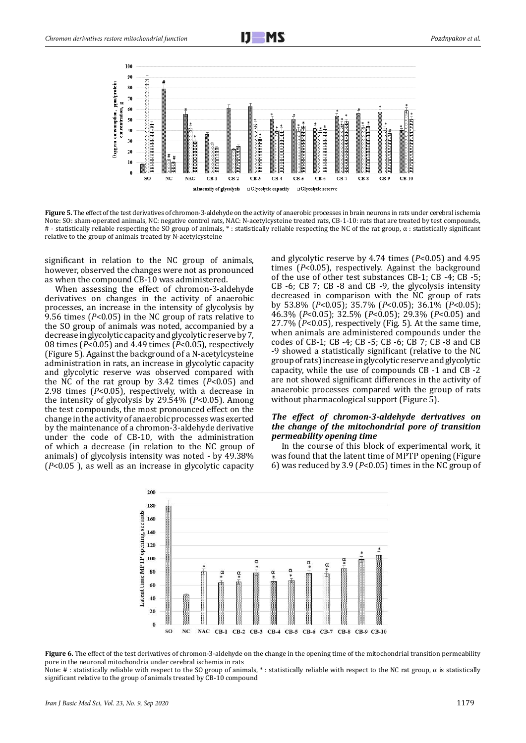

Figure 5. The effect of the test derivatives of chromon-3-aldehyde on the activity of anaerobic processes in brain neurons in rats under cerebral ischemia Note: SO: sham-operated animals, NC: negative control rats, NAC: N-acetylcysteine treated rats, CB-1-10: rats that are treated by test compounds,  $\#$  - statistically reliable respecting the SO group of animals,  $*$ : statistically reliable respecting the NC of the rat group,  $\alpha$ : statistically significant relative to the group of animals treated by N-acetylcysteine

significant in relation to the NC group of animals, however, observed the changes were not as pronounced as when the compound CB-10 was administered.

When assessing the effect of chromon-3-aldehyde derivatives on changes in the activity of anaerobic processes, an increase in the intensity of glycolysis by 9.56 times (*P*<0.05) in the NC group of rats relative to the SO group of animals was noted, accompanied by a decrease in glycolytic capacity and glycolytic reserve by 7, 08 times (*P*<0.05) and 4.49 times (*P*<0.05), respectively (Figure 5). Against the background of a N-acetylcysteine administration in rats, an increase in glycolytic capacity and glycolytic reserve was observed compared with the NC of the rat group by 3.42 times (*P*<0.05) and 2.98 times (*P*<0.05), respectively, with a decrease in the intensity of glycolysis by 29.54% (*P*<0.05). Among the test compounds, the most pronounced effect on the change in the activity of anaerobic processes was exerted by the maintenance of a chromon-3-aldehyde derivative under the code of CB-10, with the administration of which a decrease (in relation to the NC group of animals) of glycolysis intensity was noted - by 49.38% (*P*<0.05 ), as well as an increase in glycolytic capacity

and glycolytic reserve by 4.74 times (*P*<0.05) and 4.95 times (*P*<0.05), respectively. Against the background of the use of other test substances CB-1; CB -4; CB -5; CB -6; CB 7; CB -8 and CB -9, the glycolysis intensity decreased in comparison with the NC group of rats by 53.8% (*P*<0.05); 35.7% (*P*<0.05); 36.1% (*P*<0.05); 46.3% (*P*<0.05); 32.5% (*P*<0.05); 29.3% (*P*<0.05) and 27.7% (*P*<0.05), respectively (Fig. 5). At the same time, when animals are administered compounds under the codes of CB-1; CB -4; CB -5; CB -6; CB 7; CB -8 and CB -9 showed a statistically significant (relative to the NC group of rats) increase in glycolytic reserve and glycolytic capacity, while the use of compounds CB -1 and CB -2 are not showed significant differences in the activity of anaerobic processes compared with the group of rats without pharmacological support (Figure 5).

#### *The effect of chromon-3-aldehyde derivatives on the change of the mitochondrial pore of transition permeability opening time*

In the course of this block of experimental work, it was found that the latent time of MPTP opening (Figure 6) was reduced by 3.9 (*P*<0.05) times in the NC group of



**Figure 6.** The effect of the test derivatives of chromon-3-aldehyde on the change in the opening time of the mitochondrial transition permeability pore in the neuronal mitochondria under cerebral ischemia in rats

Note: # : statistically reliable with respect to the SO group of animals, \* : statistically reliable with respect to the NC rat group, α is statistically significant relative to the group of animals treated by CB-10 compound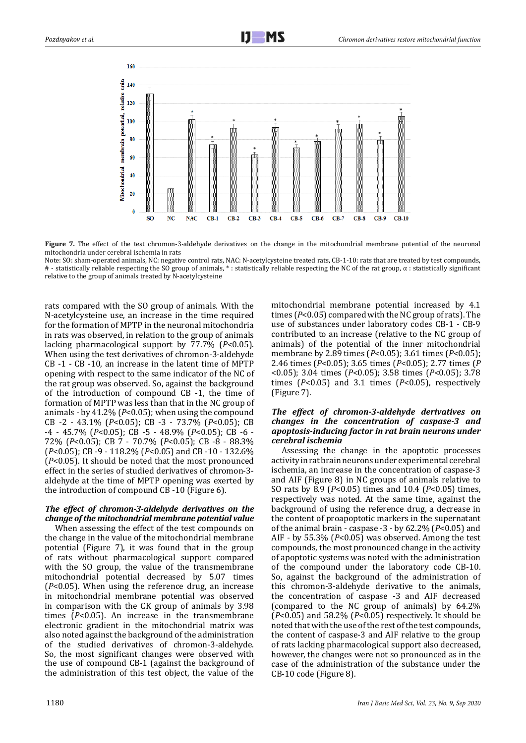

**Figure 7.** The effect of the test chromon-3-aldehyde derivatives on the change in the mitochondrial membrane potential of the neuronal mitochondria under cerebral ischemia in rats

Note: SO: sham-operated animals, NC: negative control rats, NAC: N-acetylcysteine treated rats, CB-1-10: rats that are treated by test compounds,  $#$  - statistically reliable respecting the SO group of animals,  $*$ : statistically reliable respecting the NC of the rat group,  $\alpha$ : statistically significant relative to the group of animals treated by N-acetylcysteine

rats compared with the SO group of animals. With the N-acetylcysteine use, an increase in the time required for the formation of MPTP in the neuronal mitochondria in rats was observed, in relation to the group of animals lacking pharmacological support by 77.7% (*P*<0.05). When using the test derivatives of chromon-3-aldehyde CB -1 - CB -10, an increase in the latent time of MPTP opening with respect to the same indicator of the NC of the rat group was observed. So, against the background of the introduction of compound CB -1, the time of formation of MPTP was less than that in the NC group of animals - by 41.2% (*P*<0.05); when using the compound CB -2 - 43.1% (*P*<0.05); CB -3 - 73.7% (*P*<0.05); CB -4 - 45.7% (*P*<0.05); CB -5 - 48.9% (*P*<0.05); CB -6 - 72% (*P*<0.05); CB 7 - 70.7% (*P*<0.05); CB -8 - 88.3% (*P*<0.05); CB -9 - 118.2% (*P*<0.05) and CB -10 - 132.6% (*P*<0.05). It should be noted that the most pronounced effect in the series of studied derivatives of chromon-3 aldehyde at the time of MPTP opening was exerted by the introduction of compound CB -10 (Figure 6).

## *The effect of chromon-3-aldehyde derivatives on the change of the mitochondrial membrane potential value*

When assessing the effect of the test compounds on the change in the value of the mitochondrial membrane potential (Figure 7), it was found that in the group of rats without pharmacological support compared with the SO group, the value of the transmembrane mitochondrial potential decreased by 5.07 times (*P*<0.05). When using the reference drug, an increase in mitochondrial membrane potential was observed in comparison with the CK group of animals by 3.98 times (*P*<0.05). An increase in the transmembrane electronic gradient in the mitochondrial matrix was also noted against the background of the administration of the studied derivatives of chromon-3-aldehyde. So, the most significant changes were observed with the use of compound CB-1 (against the background of the administration of this test object, the value of the

mitochondrial membrane potential increased by 4.1 times (*P*<0.05) compared with the NC group of rats). The use of substances under laboratory codes CB-1 - CB-9 contributed to an increase (relative to the NC group of animals) of the potential of the inner mitochondrial membrane by 2.89 times (*P*<0.05); 3.61 times (*P*<0.05); 2.46 times (*P*<0.05); 3.65 times (*P*<0.05); 2.77 times (*P* <0.05); 3.04 times (*P*<0.05); 3.58 times (*P*<0.05); 3.78 times (*P*<0.05) and 3.1 times (*P*<0.05), respectively (Figure 7).

## *The effect of chromon-3-aldehyde derivatives on changes in the concentration of caspase-3 and apoptosis-inducing factor in rat brain neurons under cerebral ischemia*

Assessing the change in the apoptotic processes activity in rat brain neurons under experimental cerebral ischemia, an increase in the concentration of caspase-3 and AIF (Figure 8) in NC groups of animals relative to SO rats by 8.9 (*P*<0.05) times and 10.4 (*P*<0.05) times, respectively was noted. At the same time, against the background of using the reference drug, a decrease in the content of proapoptotic markers in the supernatant of the animal brain - caspase -3 - by 62.2% (*P*<0.05) and AIF - by 55.3% (*P*<0.05) was observed. Among the test compounds, the most pronounced change in the activity of apoptotic systems was noted with the administration of the compound under the laboratory code CB-10. So, against the background of the administration of this chromon-3-aldehyde derivative to the animals, the concentration of caspase -3 and AIF decreased (compared to the NC group of animals) by 64.2% (*P*<0.05) and 58.2% (*P*<0.05) respectively. It should be noted that with the use of the rest of the test compounds, the content of caspase-3 and AIF relative to the group of rats lacking pharmacological support also decreased, however, the changes were not so pronounced as in the case of the administration of the substance under the CB-10 code (Figure 8).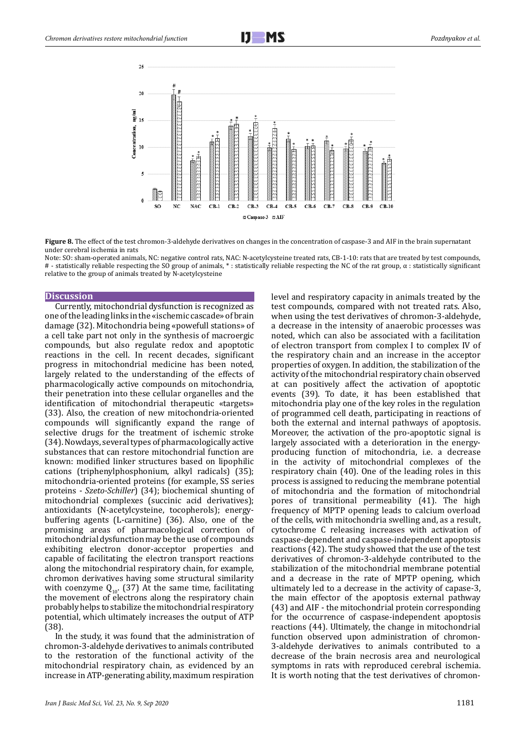

**Figure 8.** The effect of the test chromon-3-aldehyde derivatives on changes in the concentration of caspase-3 and AIF in the brain supernatant under cerebral ischemia in rats

Note: SO: sham-operated animals, NC: negative control rats, NAC: N-acetylcysteine treated rats, CB-1-10: rats that are treated by test compounds,  $#$  - statistically reliable respecting the SO group of animals,  $*$ : statistically reliable respecting the NC of the rat group,  $\alpha$ : statistically significant relative to the group of animals treated by N-acetylcysteine

#### **Discussion**

Currently, mitochondrial dysfunction is recognized as one of the leading links in the «ischemic cascade» of brain damage (32). Mitochondria being «powefull stations» of a cell take part not only in the synthesis of macroergic compounds, but also regulate redox and apoptotic reactions in the cell. In recent decades, significant progress in mitochondrial medicine has been noted, largely related to the understanding of the effects of pharmacologically active compounds on mitochondria, their penetration into these cellular organelles and the identification of mitochondrial therapeutic «targets» (33). Also, the creation of new mitochondria-oriented compounds will significantly expand the range of selective drugs for the treatment of ischemic stroke (34). Nowdays, several types of pharmacologically active substances that can restore mitochondrial function are known: modified linker structures based on lipophilic cations (triphenylphosphonium, alkyl radicals) (35); mitochondria-oriented proteins (for example, SS series proteins - *Szeto-Schiller*) (34); biochemical shunting of mitochondrial complexes (succinic acid derivatives); antioxidants (N-acetylcysteine, tocopherols); energybuffering agents (L-carnitine) (36). Also, one of the promising areas of pharmacological correction of mitochondrial dysfunction may be the use of compounds exhibiting electron donor-acceptor properties and capable of facilitating the electron transport reactions along the mitochondrial respiratory chain, for example, chromon derivatives having some structural similarity with coenzyme  $Q_{10}$ . (37) At the same time, facilitating the movement of electrons along the respiratory chain probably helps to stabilize the mitochondrial respiratory potential, which ultimately increases the output of ATP (38).

In the study, it was found that the administration of chromon-3-aldehyde derivatives to animals contributed to the restoration of the functional activity of the mitochondrial respiratory chain, as evidenced by an increase in ATP-generating ability, maximum respiration

level and respiratory capacity in animals treated by the test compounds, compared with not treated rats. Also, when using the test derivatives of chromon-3-aldehyde, a decrease in the intensity of anaerobic processes was noted, which can also be associated with a facilitation of electron transport from complex I to complex IV of the respiratory chain and an increase in the acceptor properties of oxygen. In addition, the stabilization of the activity of the mitochondrial respiratory chain observed at can positively affect the activation of apoptotic events (39). To date, it has been established that mitochondria play one of the key roles in the regulation of programmed cell death, participating in reactions of both the external and internal pathways of apoptosis. Moreover, the activation of the pro-apoptotic signal is largely associated with a deterioration in the energyproducing function of mitochondria, i.e. a decrease in the activity of mitochondrial complexes of the respiratory chain (40). One of the leading roles in this process is assigned to reducing the membrane potential of mitochondria and the formation of mitochondrial pores of transitional permeability (41). The high frequency of MPTP opening leads to calcium overload of the cells, with mitochondria swelling and, as a result, cytochrome C releasing increases with activation of caspase-dependent and caspase-independent apoptosis reactions (42). The study showed that the use of the test derivatives of chromon-3-aldehyde contributed to the stabilization of the mitochondrial membrane potential and a decrease in the rate of MPTP opening, which ultimately led to a decrease in the activity of capase-3, the main effector of the apoptosis external pathway (43) and AIF - the mitochondrial protein corresponding for the occurrence of caspase-independent apoptosis reactions (44). Ultimately, the change in mitochondrial function observed upon administration of chromon-3-aldehyde derivatives to animals contributed to a decrease of the brain necrosis area and neurological symptoms in rats with reproduced cerebral ischemia. It is worth noting that the test derivatives of chromon-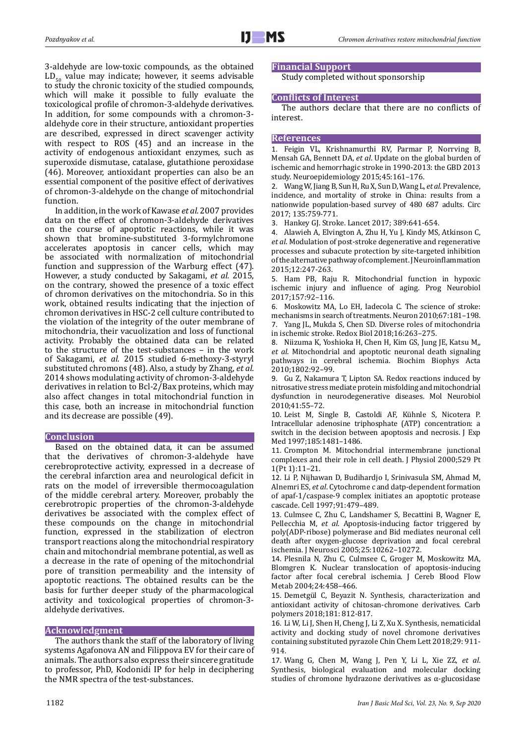3-aldehyde are low-toxic compounds, as the obtained  $LD_{50}$  value may indicate; however, it seems advisable to study the chronic toxicity of the studied compounds, which will make it possible to fully evaluate the toxicological profile of chromon-3-aldehyde derivatives. In addition, for some compounds with a chromon-3 aldehyde core in their structure, antioxidant properties are described, expressed in direct scavenger activity with respect to ROS (45) and an increase in the activity of endogenous antioxidant enzymes, such as superoxide dismutase, catalase, glutathione peroxidase (46). Moreover, antioxidant properties can also be an essential component of the positive effect of derivatives of chromon-3-aldehyde on the change of mitochondrial function.

In addition, in the work of Kawase *et al.* 2007 provides data on the effect of chromon-3-aldehyde derivatives on the course of apoptotic reactions, while it was shown that bromine-substituted 3-formylchromone accelerates apoptosis in cancer cells, which may be associated with normalization of mitochondrial function and suppression of the Warburg effect (47). However, a study conducted by Sakagami, *et al.* 2015, on the contrary, showed the presence of a toxic effect of chromon derivatives on the mitochondria. So in this work, obtained results indicating that the injection of chromon derivatives in HSC-2 cell culture contributed to the violation of the integrity of the outer membrane of mitochondria, their vacuolization and loss of functional activity. Probably the obtained data can be related to the structure of the test-substances – in the work of Sakagami*, et al.* 2015 studied 6-methoxy-3-styryl substituted chromons (48). Also, a study by Zhang, *et al.*  2014 shows modulating activity of chromon-3-aldehyde derivatives in relation to Bcl-2/Bax proteins, which may also affect changes in total mitochondrial function in this case, both an increase in mitochondrial function and its decrease are possible (49).

#### **Conclusion**

Based on the obtained data, it can be assumed that the derivatives of chromon-3-aldehyde have cerebroprotective activity, expressed in a decrease of the cerebral infarction area and neurological deficit in rats on the model of irreversible thermocoagulation of the middle cerebral artery. Moreover, probably the cerebrotropic properties of the chromon-3-aldehyde derivatives be associated with the complex effect of these compounds on the change in mitochondrial function, expressed in the stabilization of electron transport reactions along the mitochondrial respiratory chain and mitochondrial membrane potential, as well as a decrease in the rate of opening of the mitochondrial pore of transition permeability and the intensity of apoptotic reactions. The obtained results can be the basis for further deeper study of the pharmacological activity and toxicological properties of chromon-3 aldehyde derivatives.

#### **Acknowledgment**

The authors thank the staff of the laboratory of living systems Agafonova AN and Filippova EV for their care of animals. The authors also express their sincere gratitude to professor, PhD, Kodonidi IP for help in deciphering the NMR spectra of the test-substances.

## **Financial Support**

Study completed without sponsorship

## **Conflicts of Interest**

The authors declare that there are no conflicts of interest.

#### **References**

1. Feigin VL, Krishnamurthi RV, Parmar P, Norrving B, Mensah GA, Bennett DA, *et al*. Update on the global burden of ischemic and hemorrhagic stroke in 1990-2013: the GBD 2013 study. Neuroepidemiology 2015;45:161–176.

2. Wang W, Jiang B, Sun H, Ru X, Sun D, Wang L, *et al*. Prevalence, incidence, and mortality of stroke in China: results from a nationwide population-based survey of 480 687 adults. Circ 2017; 135:759-771.

3. Hankey GJ. Stroke. Lancet 2017; 389:641-654.

4. Alawieh A, Elvington A, Zhu H, Yu J, Kindy MS, Atkinson C, *et al*. Modulation of post-stroke degenerative and regenerative processes and subacute protection by site-targeted inhibition of the alternative pathway of complement.J Neuroinflammation 2015;12:247-263.

5. Ham PB, Raju R. Mitochondrial function in hypoxic ischemic injury and influence of aging. Prog Neurobiol 2017;157:92–116.

6. Moskowitz MA, Lo EH, Iadecola C. The science of stroke: mechanisms in search of treatments. Neuron 2010;67:181–198. 7. Yang JL, Mukda S, Chen SD. Diverse roles of mitochondria in ischemic stroke. Redox Biol 2018;16:263–275.

8. Niizuma K, Yoshioka H, Chen H, Kim GS, Jung JE, Katsu M,, *et al*. Mitochondrial and apoptotic neuronal death signaling pathways in cerebral ischemia. Biochim Biophys Acta 2010;1802:92–99.

9. Gu Z, Nakamura T, Lipton SA. Redox reactions induced by nitrosative stress mediate protein misfolding and mitochondrial dysfunction in neurodegenerative diseases. Mol Neurobiol 2010;41:55–72.

10. Leist M, Single B, Castoldi AF, Kühnle S, Nicotera P. Intracellular adenosine triphosphate (ATP) concentration: a switch in the decision between apoptosis and necrosis. J Exp Med 1997;185:1481–1486.

11. Crompton M. Mitochondrial intermembrane junctional complexes and their role in cell death. J Physiol 2000;529 Pt 1(Pt 1):11–21.

12. Li P, Nijhawan D, Budihardjo I, Srinivasula SM, Ahmad M, Alnemri ES, *et al*. Cytochrome c and datp-dependent formation of apaf-1/caspase-9 complex initiates an apoptotic protease cascade. Cell 1997;91:479–489.

13. Culmsee C, Zhu C, Landshamer S, Becattini B, Wagner E, Pellecchia M, *et al*. Apoptosis-inducing factor triggered by poly(ADP-ribose) polymerase and Bid mediates neuronal cell death after oxygen-glucose deprivation and focal cerebral ischemia. J Neurosci 2005;25:10262–10272.

14. Plesnila N, Zhu C, Culmsee C, Groger M, Moskowitz MA, Blomgren K. Nuclear translocation of apoptosis-inducing factor after focal cerebral ischemia. J Cereb Blood Flow Metab 2004;24:458–466.

15. Demetgül C, Beyazit N. Synthesis, characterization and antioxidant activity of chitosan-chromone derivatives. Carb polymers 2018;181: 812-817.

16. Li W, Li J, Shen H, Cheng J, Li Z, Xu X. Synthesis, nematicidal activity and docking study of novel chromone derivatives containing substituted pyrazole Chin Chem Lett 2018;29: 911- 914.

17. Wang G, Chen M, Wang J, Pen Y, Li L, Xie ZZ, *et al*. Synthesis, biological evaluation and molecular docking studies of chromone hydrazone derivatives as α-glucosidase